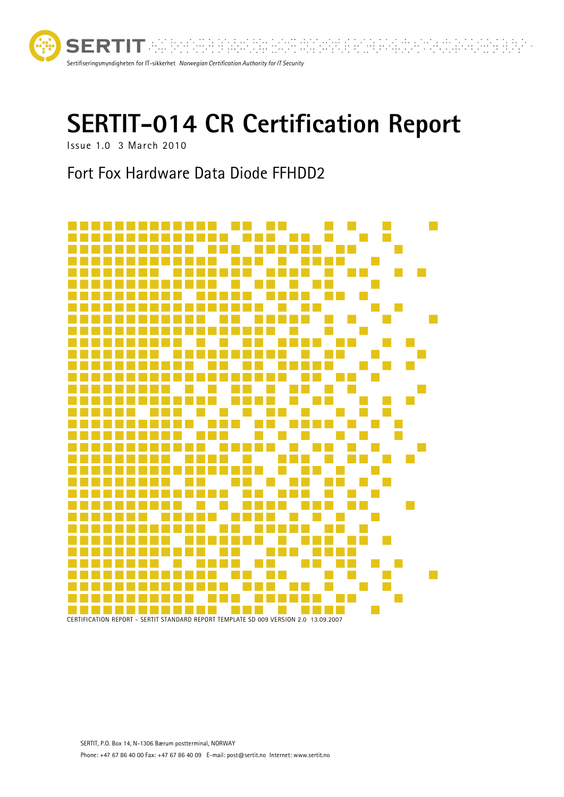

ana amin'ny<br>Mandrid **SERTIT WEE** 11999.98  $\mathbb{R}^{n\times n}$ mendell Sertifiseringsmyndigheten for IT-sikkerhet *Norwegian Certification Authority for IT Security*

# **SERTIT-014 CR Certification Report**

Issue 1.0 3 March 2010

# Fort Fox Hardware Data Diode FFHDD2

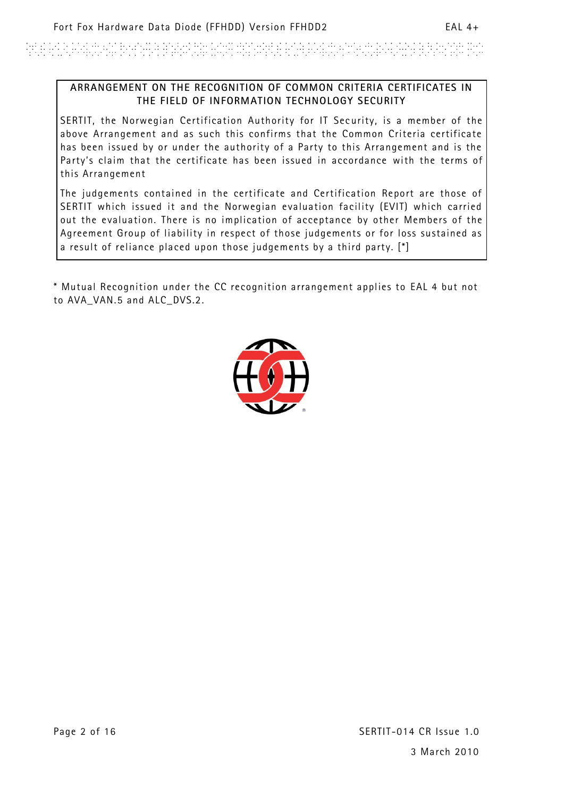ANG PALAMBANG BAAYAN PARANG BANG PANGHAL PARANG PANGHALANG PANG

#### **ARRANGEMENT ON THE RECOGNITION OF COMMON CRITERIA CERTIFICATES IN THE FIELD OF INFORMATION TECHNOLOGY SECURITY**

SERTIT, the Norwegian Certification Authority for IT Security, is a member of the above Arrangement and as such this confirms that the Common Criteria certificate has been issued by or under the authority of a Party to this Arrangement and is the Party's claim that the certificate has been issued in accordance with the terms of this Arrangement

The judgements contained in the certificate and Certification Report are those of SERTIT which issued it and the Norwegian evaluation facility (EVIT) which carried out the evaluation. There is no implication of acceptance by other Members of the Agreement Group of liability in respect of those judgements or for loss sustained as a result of reliance placed upon those judgements by a third party. [\*]

\* Mutual Recognition under the CC recognition arrangement applies to EAL 4 but not to AVA\_VAN.5 and ALC\_DVS.2.

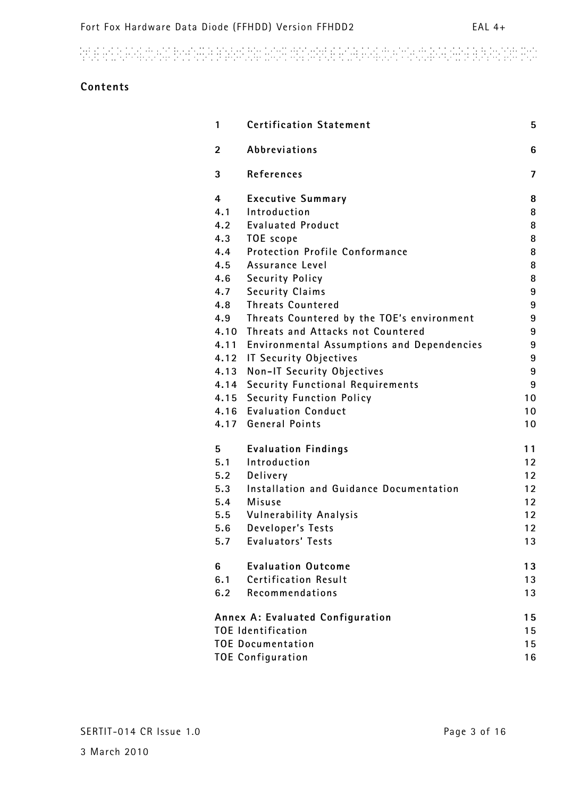# and an automatic product addition and dependent and automatic conductions of the second and an

#### **Contents**

| 1                              | <b>Certification Statement</b>                    | 5  |  |  |
|--------------------------------|---------------------------------------------------|----|--|--|
| 2                              | Abbreviations                                     | 6  |  |  |
| 3                              | References                                        | 7  |  |  |
| 4                              | <b>Executive Summary</b>                          | 8  |  |  |
| 4.1                            | Introduction                                      | 8  |  |  |
| 4.2                            | <b>Evaluated Product</b>                          | 8  |  |  |
| 4.3                            | TOE scope                                         | 8  |  |  |
| 4.4                            | Protection Profile Conformance                    | 8  |  |  |
| 4.5                            | Assurance Level                                   | 8  |  |  |
| 4.6                            | Security Policy                                   | 8  |  |  |
| 4.7                            | <b>Security Claims</b>                            | 9  |  |  |
| 4.8                            | <b>Threats Countered</b>                          | 9  |  |  |
| 4.9                            | Threats Countered by the TOE's environment        | 9  |  |  |
| 4.10                           | Threats and Attacks not Countered                 | 9  |  |  |
| 4.11                           | <b>Environmental Assumptions and Dependencies</b> | 9  |  |  |
| 4.12                           | IT Security Objectives                            | 9  |  |  |
| 4.13                           | <b>Non-IT Security Objectives</b>                 | 9  |  |  |
| 4.14                           | <b>Security Functional Requirements</b>           | 9  |  |  |
|                                | 4.15 Security Function Policy                     | 10 |  |  |
|                                | 4.16 Evaluation Conduct                           | 10 |  |  |
|                                | 4.17 General Points                               | 10 |  |  |
| 5                              | <b>Evaluation Findings</b>                        | 11 |  |  |
| 5.1                            | Introduction                                      | 12 |  |  |
| 5.2                            | Delivery                                          | 12 |  |  |
| 5.3                            | Installation and Guidance Documentation           | 12 |  |  |
| 5.4                            | Misuse                                            | 12 |  |  |
| 5.5                            | <b>Vulnerability Analysis</b>                     | 12 |  |  |
| 5.6                            | Developer's Tests                                 | 12 |  |  |
| 5.7                            | <b>Evaluators' Tests</b>                          | 13 |  |  |
| 6                              | <b>Evaluation Outcome</b>                         | 13 |  |  |
| 6.1                            | <b>Certification Result</b>                       | 13 |  |  |
| 6.2                            | Recommendations                                   | 13 |  |  |
|                                | Annex A: Evaluated Configuration                  | 15 |  |  |
|                                | <b>TOE Identification</b>                         | 15 |  |  |
| <b>TOE Documentation</b><br>15 |                                                   |    |  |  |
| <b>TOE Configuration</b><br>16 |                                                   |    |  |  |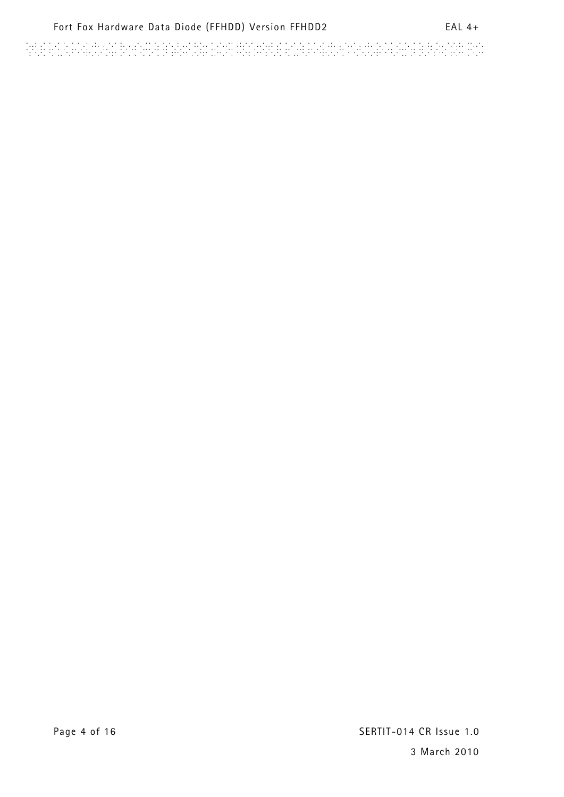#### Fort Fox Hardware Data Diode (FFHDD) Version FFHDD2 EAL 4+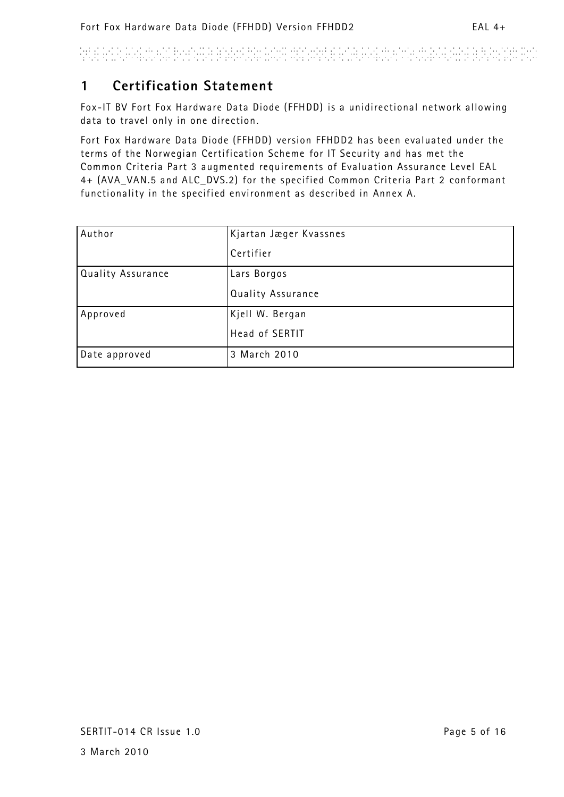ARE AN AGAIN AN BHANA ANA ANN AN AN AN AN AN AGAIN AN NAISEACH AN AIR AIR AN AN

#### **1 Certification Statement**

Fox-IT BV Fort Fox Hardware Data Diode (FFHDD) is a unidirectional network allowing data to travel only in one direction.

Fort Fox Hardware Data Diode (FFHDD) version FFHDD2 has been evaluated under the terms of the Norwegian Certification Scheme for IT Security and has met the Common Criteria Part 3 augmented requirements of Evaluation Assurance Level EAL 4+ (AVA\_VAN.5 and ALC\_DVS.2) for the specified Common Criteria Part 2 conformant functionality in the specified environment as described in Annex A.

| Author            | Kjartan Jæger Kvassnes |  |
|-------------------|------------------------|--|
|                   | Certifier              |  |
| Quality Assurance | Lars Borgos            |  |
|                   | Quality Assurance      |  |
| Approved          | Kjell W. Bergan        |  |
|                   | Head of SERTIT         |  |
| Date approved     | 3 March 2010           |  |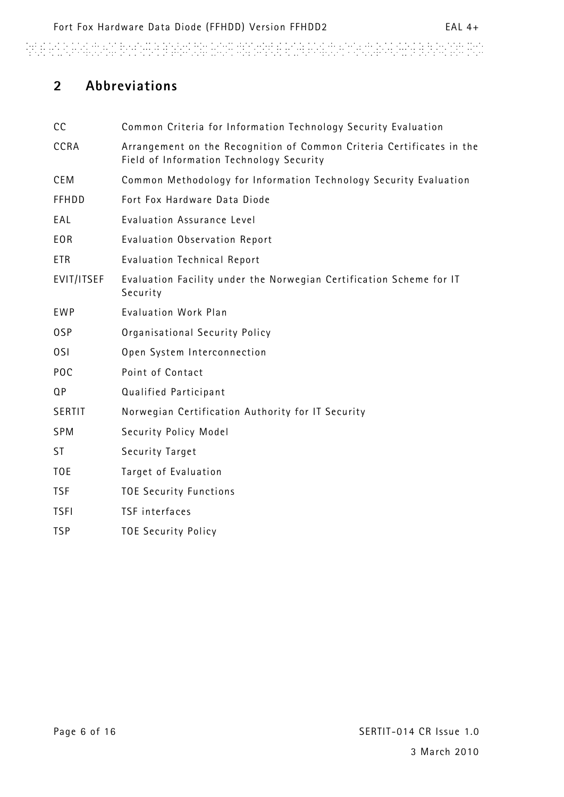## **2 Abbreviations**

| cc            | Common Criteria for Information Technology Security Evaluation                                                    |
|---------------|-------------------------------------------------------------------------------------------------------------------|
| CCRA          | Arrangement on the Recognition of Common Criteria Certificates in the<br>Field of Information Technology Security |
| <b>CEM</b>    | Common Methodology for Information Technology Security Evaluation                                                 |
| FFHDD         | Fort Fox Hardware Data Diode                                                                                      |
| EAL           | Evaluation Assurance Level                                                                                        |
| EOR           | Evaluation Observation Report                                                                                     |
| <b>ETR</b>    | <b>Evaluation Technical Report</b>                                                                                |
| EVIT/ITSEF    | Evaluation Facility under the Norwegian Certification Scheme for IT<br>Security                                   |
| <b>EWP</b>    | Evaluation Work Plan                                                                                              |
| 0SP           | Organisational Security Policy                                                                                    |
| 0SI           | Open System Interconnection                                                                                       |
| <b>POC</b>    | Point of Contact                                                                                                  |
| QP            | Qualified Participant                                                                                             |
| <b>SERTIT</b> | Norwegian Certification Authority for IT Security                                                                 |
| <b>SPM</b>    | Security Policy Model                                                                                             |
| <b>ST</b>     | Security Target                                                                                                   |
| <b>TOE</b>    | Target of Evaluation                                                                                              |
| <b>TSF</b>    | <b>TOE Security Functions</b>                                                                                     |
| <b>TSFI</b>   | TSF interfaces                                                                                                    |
| <b>TSP</b>    | <b>TOE Security Policy</b>                                                                                        |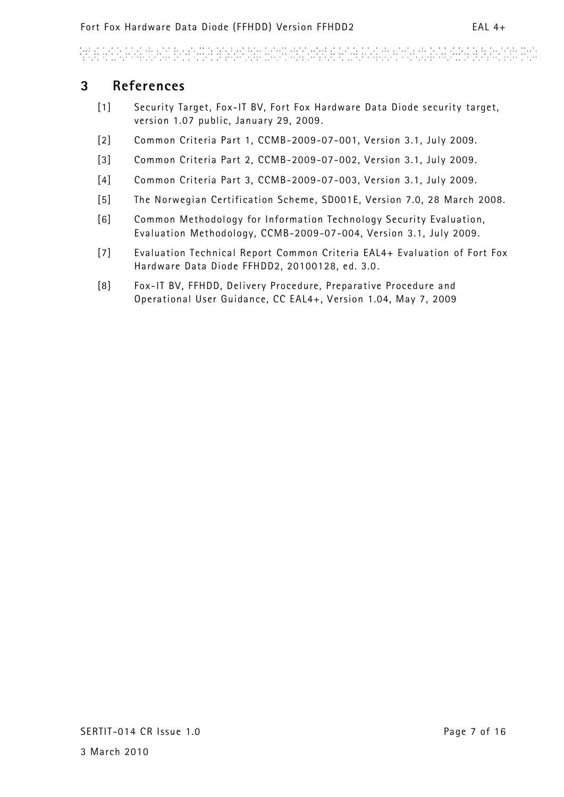ARE ANN AN INNEN ROMAN AN AN INDIA IN THE ANNOUNCE ON THE SALE an a bheilte.<br>Tagairtí

#### **3 References**

- <span id="page-6-0"></span>[1] Security Target, Fox-IT BV, Fort Fox Hardware Data Diode security target, version 1.07 public, January 29, 2009 .
- <span id="page-6-2"></span>[2] Common Criteria Part 1, CCMB-2009-07-001, Version 3.1, July 2009.
- <span id="page-6-3"></span>[3] Common Criteria Part 2, CCMB-2009-07-002, Version 3.1, July 2009.
- <span id="page-6-1"></span>[4] Common Criteria Part 3, CCMB-2009-07-003, Version 3.1, July 2009.
- <span id="page-6-4"></span>[5] The Norwegian Certification Scheme, SD001E, Version 7.0, 28 March 2008.
- <span id="page-6-5"></span>[6] Common Methodology for Information Technology Security Evaluation, Evaluation Methodology, CCMB-2009-07-004, Version 3.1, July 2009.
- <span id="page-6-6"></span>[7] Evaluation Technical Report Common Criteria EAL4+ Evaluation of Fort Fox Hardware Data Diode FFHDD2, 20100128, ed. 3.0 .
- <span id="page-6-7"></span>[8] Fox-IT BV, FFHDD, Delivery Procedure, Preparative Procedure and Operational User Guidance, CC EAL4+, Version 1.04, May 7, 2009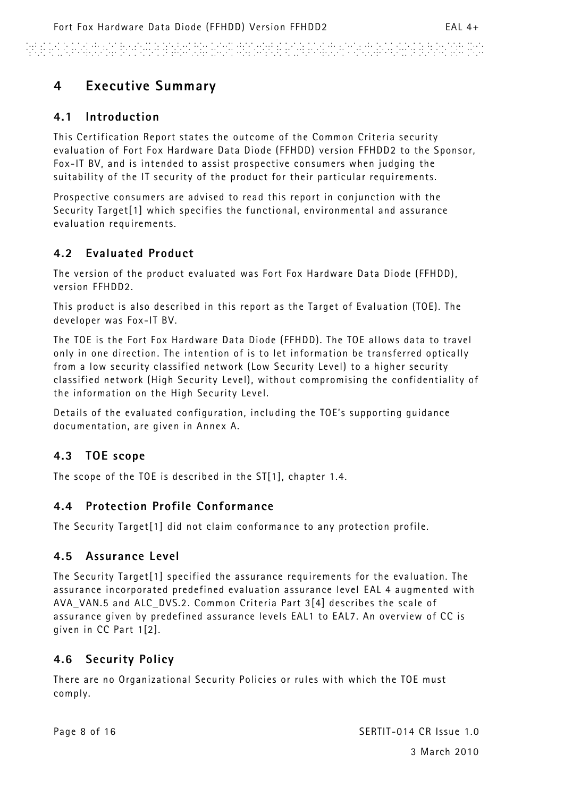ANDER EIN FRAGTSTANDE FRAGTSTADT IN DER STATISTISCHE EINE FRAGTSTADT IN DER STATISTISCHE FRAGTSTADT FRAGTSTADT

## **4 Executive Summary**

#### **4.1 Introduction**

This Certification Report states the outcome of the Common Criteria security evaluation of Fort Fox Hardware Data Diode (FFHDD) version FFHDD2 to the Sponsor, Fox-IT BV, and is intended to assist prospective consumers when judging the suitability of the IT security of the product for their particular requirements.

Prospective consumers are advised to read this report in conjunction with the Security Targe[t\[1\]](#page-6-0) which specifies the functional, environmental and assurance evaluation requirements.

#### **4.2 Evaluated Product**

The version of the product evaluated was Fort Fox Hardware Data Diode (FFHDD), version FFHDD2.

This product is also described in this report as the Target of Evaluation (TOE). The developer was Fox-IT BV.

The TOE is the Fort Fox Hardware Data Diode (FFHDD). The TOE allows data to travel only in one direction. The intention of is to let information be transferred optically from a low security classified network (Low Security Level) to a higher security classified network (High Security Level), without compromising the confidentiality of the information on the High Security Level.

Details of the evaluated configuration, including the TOE's supporting guidance documentation, are given in Annex A.

#### **4.3 TOE scope**

The scope of the TOE is described in the S[T\[1\],](#page-6-0) chapter 1.4.

#### **4.4 Protection Profile Conformance**

The Security Targe[t\[1\]](#page-6-0) did not claim conformance to any protection profile.

#### **4.5 Assurance Level**

The Security Targe[t\[1\]](#page-6-0) specified the assurance requirements for the evaluation. The assurance incorporated predefined evaluation assurance level EAL 4 augmented with AVA\_VAN.5 and ALC\_DVS.2. Common Criteria Part [3\[4\]](#page-6-1) describes the scale of assurance given by predefined assurance levels EAL1 to EAL7. An overview of CC is given in CC Part [1\[2\].](#page-6-2)

#### **4.6 Security Policy**

There are no Organizational Security Policies or rules with which the TOE must comply.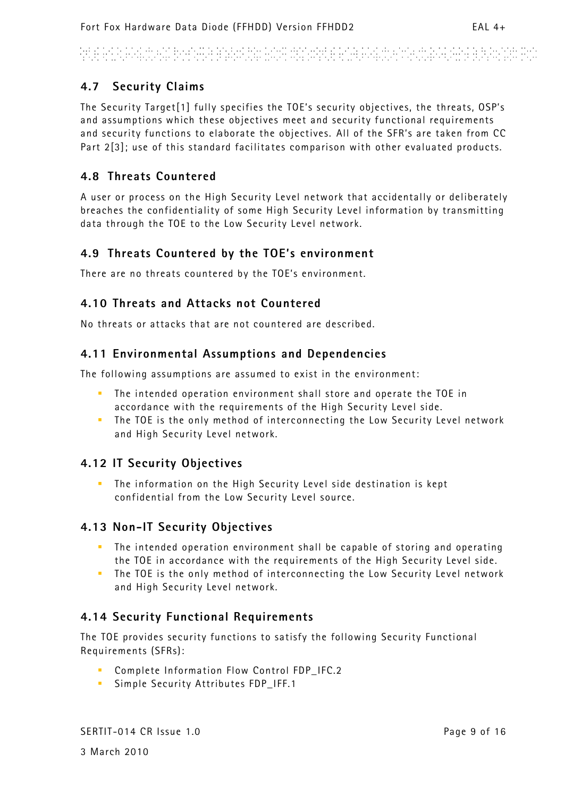#### Andel de San Anders de Marie de Marie de la composició de la composició de la composició de la composició<br>Antiga de San Andel de Marie de Marie de Marie de Marie de Marie de Marie de Marie de Marie de Marie de Marie an di seria banya

#### **4.7 Security Claims**

The Security Targe[t\[1\]](#page-6-0) fully specifies the TOE's security objectives, the threats, OSP's and assumptions which these objectives meet and security functional requirements and security functions to elaborate the objectives. All of the SFR's are taken from CC Part [2\[3\];](#page-6-3) use of this standard facilitates comparison with other evaluated products.

#### **4.8 Threats Countered**

A user or process on the High Security Level network that accidentally or deliberately breaches the confidentiality of some High Security Level information by transmitting data through the TOE to the Low Security Level network.

#### **4.9 Threats Countered by the TOE's environment**

There are no threats countered by the TOE's environment.

#### **4.10 Threats and Attacks not Countered**

No threats or attacks that are not countered are described.

#### **4.11 Environmental Assumptions and Dependencies**

The following assumptions are assumed to exist in the environment:

- **The intended operation environment shall store and operate the TOE in** accordance with the requirements of the High Security Level side.
- **The TOE** is the only method of interconnecting the Low Security Level network and High Security Level network.

#### **4.12 IT Security Objectives**

 The information on the High Security Level side destination is kept confidential from the Low Security Level source.

#### **4.13 Non-IT Security Objectives**

- The intended operation environment shall be capable of storing and operating the TOE in accordance with the requirements of the High Security Level side.
- **The TOE** is the only method of interconnecting the Low Security Level network and High Security Level network.

#### **4.14 Security Functional Requirements**

The TOE provides security functions to satisfy the following Security Functional Requirements (SFRs):

- Complete Information Flow Control FDP\_IFC.2
- **Simple Security Attributes FDP\_IFF.1**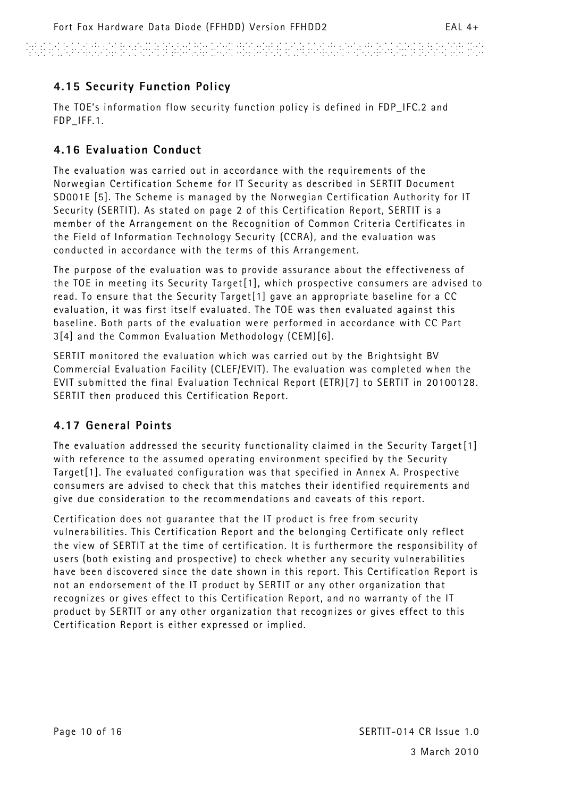Antara a tanàna dia mandritra da taona ao amin'ny faritr'i Nord-America ao amin'ny faritr'i Antara amin'ny far

#### **4.15 Security Function Policy**

The TOE's information flow security function policy is defined in FDP\_IFC.2 and FDP\_IFF.1.

#### **4.16 Evaluation Conduct**

The evaluation was carried out in accordance with the requirements of the Norwegian Certification Scheme for IT Security as described in SERTIT Document SD001E [\[5\].](#page-6-4) The Scheme is managed by the Norwegian Certification Authority for IT Security (SERTIT). As stated on page 2 of this Certification Report, SERTIT is a member of the Arrangement on the Recognition of Common Criteria Certificates in the Field of Information Technology Security (CCRA), and the evaluation was conducted in accordance with the terms of this Arrangement.

The purpose of the evaluation was to provide assurance about the effectiveness of the TOE in meeting its Security Targe[t\[1\],](#page-6-0) which prospective consumers are advised to read. To ensure that the Security Targe[t\[1\]](#page-6-0) gave an appropriate baseline for a CC evaluation, it was first itself evaluated. The TOE was then evaluated against this baseline. Both parts of the evaluation were performed in accordance with CC Part [3\[4\]](#page-6-1) and the Common Evaluation Methodology (CEM[\)\[6\].](#page-6-5)

SERTIT monitored the evaluation which was carried out by the Brightsight BV Commercial Evaluation Facility (CLEF/EVIT). The evaluation was completed when the EVIT submitted the final Evaluation Technical Report (ETR[\)\[7\]](#page-6-6) to SERTIT in 20100128. SERTIT then produced this Certification Report.

#### **4.17 General Points**

The evaluation addressed the security functionality claimed in the Security Target [\[1\]](#page-6-0) with reference to the assumed operating environment specified by the Security Targe[t\[1\].](#page-6-0) The evaluated configuration was that specified in Annex A. Prospective consumers are advised to check that this matches their identified requirements and give due consideration to the recommendations and caveats of this report.

Certification does not guarantee that the IT product is free from security vulnerabilities. This Certification Report and the belonging Certificate only reflect the view of SERTIT at the time of certification. It is furthermore the responsibility of users (both existing and prospective) to check whether any security vulnerabilities have been discovered since the date shown in this report. This Certification Report is not an endorsement of the IT product by SERTIT or any other organization that recognizes or gives effect to this Certification Report, and no warranty of the IT product by SERTIT or any other organization that recognizes or gives effect to this Certification Report is either expressed or implied.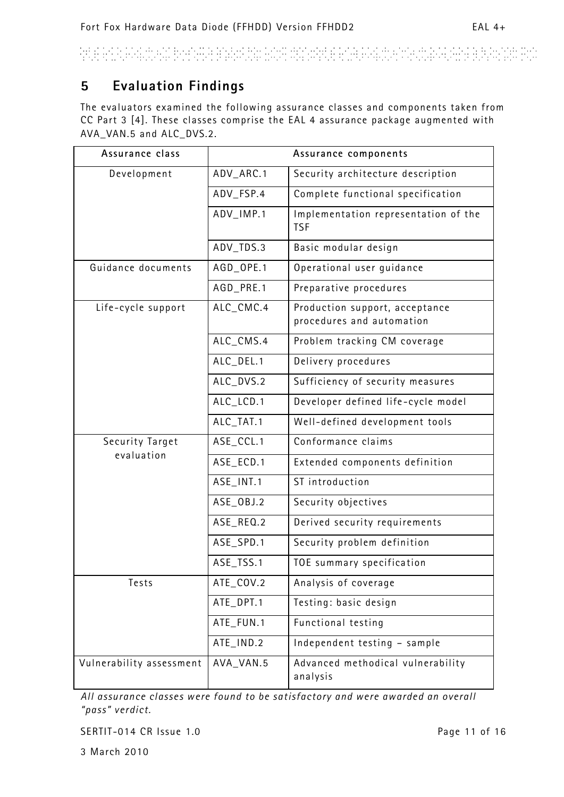## **5 Evaluation Findings**

The evaluators examined the following assurance classes and components taken from CC Part 3 [\[4\].](#page-6-1) These classes comprise the EAL 4 assurance package augmented with AVA\_VAN.5 and ALC\_DVS.2.

| Assurance class          | Assurance components |                                                             |  |
|--------------------------|----------------------|-------------------------------------------------------------|--|
| Development              | ADV_ARC.1            | Security architecture description                           |  |
|                          | ADV_FSP.4            | Complete functional specification                           |  |
|                          | ADV_IMP.1            | Implementation representation of the<br><b>TSF</b>          |  |
|                          | ADV_TDS.3            | Basic modular design                                        |  |
| Guidance documents       | AGD_OPE.1            | Operational user guidance                                   |  |
|                          | AGD_PRE.1            | Preparative procedures                                      |  |
| Life-cycle support       | ALC_CMC.4            | Production support, acceptance<br>procedures and automation |  |
|                          | ALC_CMS.4            | Problem tracking CM coverage                                |  |
|                          | ALC_DEL.1            | Delivery procedures                                         |  |
|                          | ALC_DVS.2            | Sufficiency of security measures                            |  |
|                          | ALC_LCD.1            | Developer defined life-cycle model                          |  |
|                          | ALC_TAT.1            | Well-defined development tools                              |  |
| Security Target          | ASE_CCL.1            | Conformance claims                                          |  |
| evaluation               | ASE_ECD.1            | Extended components definition                              |  |
|                          | ASE_INT.1            | ST introduction                                             |  |
|                          | ASE_OBJ.2            | Security objectives                                         |  |
|                          | ASE_REQ.2            | Derived security requirements                               |  |
|                          | ASE_SPD.1            | Security problem definition                                 |  |
|                          | ASE_TSS.1            | TOE summary specification                                   |  |
| Tests                    | ATE_COV.2            | Analysis of coverage                                        |  |
|                          | ATE_DPT.1            | Testing: basic design                                       |  |
|                          | ATE_FUN.1            | Functional testing                                          |  |
|                          | ATE_IND.2            | Independent testing - sample                                |  |
| Vulnerability assessment | AVA_VAN.5            | Advanced methodical vulnerability<br>analysis               |  |

*All assurance classes were found to be satisfactory and were awarded an overall "pass" verdict.*

SERTIT-014 CR Issue 1.0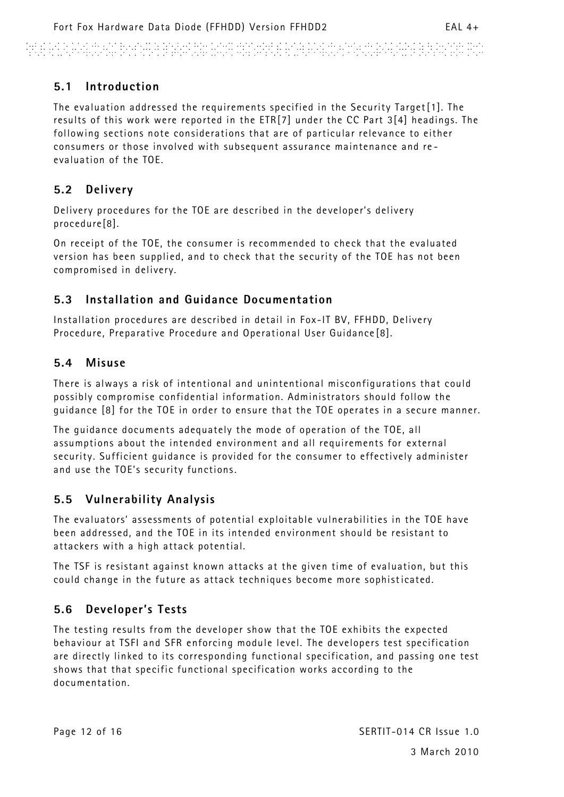Antara a tanàna dia mandritra da taona ao amin'ny faritr'i Nord-America ao amin'ny faritr'i Antara amin'ny far

#### **5.1 Introduction**

The evaluation addressed the requirements specified in the Security Target [\[1\].](#page-6-0) The results of this work were reported in the ET[R\[7\]](#page-6-6) under the CC Part [3\[4\]](#page-6-1) headings. The following sections note considerations that are of particular relevance to either consumers or those involved with subsequent assurance maintenance and re evaluation of the TOE.

#### **5.2 Delivery**

Delivery procedures for the TOE are described in the developer's delivery procedur[e\[8\].](#page-6-7)

On receipt of the TOE, the consumer is recommended to check that the evaluated version has been supplied, and to check that the security of the TOE has not been compromised in delivery.

#### **5.3 Installation and Guidance Documentation**

Installation procedures are described in detail in Fox-IT BV, FFHDD, Delivery Procedure, Preparative Procedure and Operational User Guidance [\[8\].](#page-6-7)

#### **5.4 Misuse**

There is always a risk of intentional and unintentional misconfigurations that could possibly compromise confidential information. Administrators should follow the guidance [\[8\]](#page-6-7) for the TOE in order to ensure that the TOE operates in a secure manner.

The guidance documents adequately the mode of operation of the TOE, all assumptions about the intended environment and all requirements for external security. Sufficient guidance is provided for the consumer to effectively administer and use the TOE's security functions.

#### **5.5 Vulnerability Analysis**

The evaluators' assessments of potential exploitable vulnerabilities in the TOE have been addressed, and the TOE in its intended environment should be resistant to attackers with a high attack potential.

The TSF is resistant against known attacks at the given time of evaluation, but this could change in the future as attack techniques become more sophisticated.

#### **5.6 Developer's Tests**

The testing results from the developer show that the TOE exhibits the expected behaviour at TSFI and SFR enforcing module level. The developers test specification are directly linked to its corresponding functional specification, and passing one test shows that that specific functional specification works according to the documentation.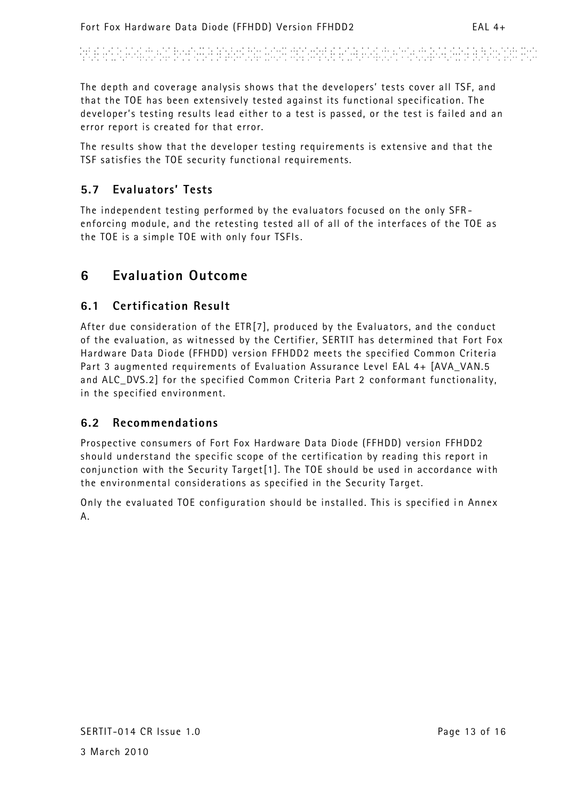#### Andele a construction de la construction de la construction de la construction de la construction de la constr<br>Construction de la construction de la construction de la construction de la construction de la construction de ina na mara<br>Tinang mana

The depth and coverage analysis shows that the developers' tests cover all TSF, and that the TOE has been extensively tested against its functional specification. The developer's testing results lead either to a test is passed, or the test is failed and an error report is created for that error.

The results show that the developer testing requirements is extensive and that the TSF satisfies the TOE security functional requirements.

#### **5.7 Evaluators' Tests**

The independent testing performed by the evaluators focused on the only SFR enforcing module, and the retesting tested all of all of the interfaces of the TOE as the TOE is a simple TOE with only four TSFIs.

#### **6 Evaluation Outcome**

#### **6.1 Certification Result**

After due consideration of the ET[R\[7\],](#page-6-6) produced by the Evaluators, and the conduct of the evaluation, as witnessed by the Certifier, SERTIT has determined that Fort Fox Hardware Data Diode (FFHDD) version FFHDD2 meets the specified Common Criteria Part 3 augmented requirements of Evaluation Assurance Level EAL 4+ [AVA\_VAN.5 and ALC\_DVS.2] for the specified Common Criteria Part 2 conformant functionality, in the specified environment.

#### **6.2 Recommendations**

Prospective consumers of Fort Fox Hardware Data Diode (FFHDD) version FFHDD2 should understand the specific scope of the certification by reading this report in conjunction with the Security Targe[t\[1\].](#page-6-0) The TOE should be used in accordance with the environmental considerations as specified in the Security Target.

Only the evaluated TOE configuration should be installed. This is specified in Annex A.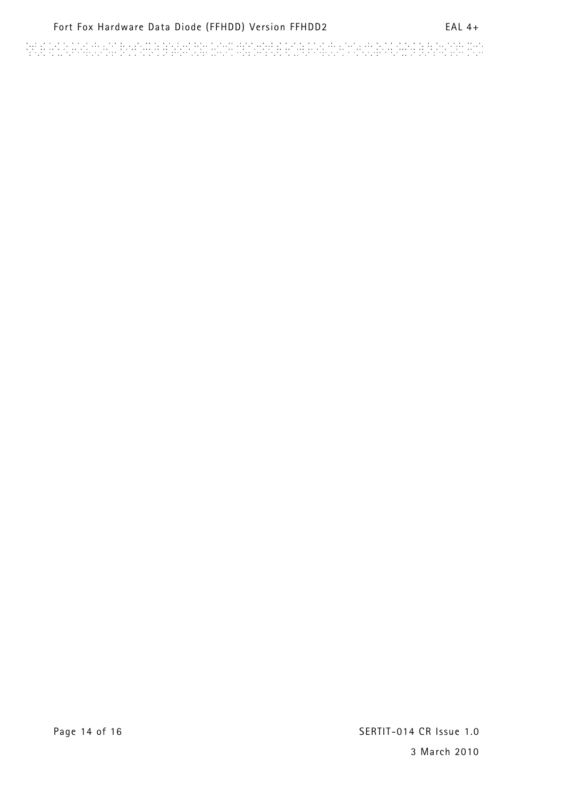#### Fort Fox Hardware Data Diode (FFHDD) Version FFHDD2 EAL 4+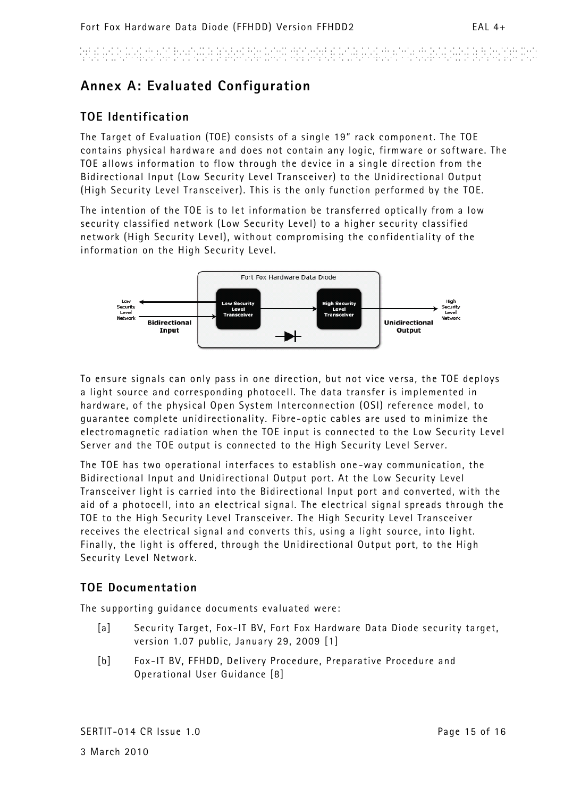#### al birin ing mang <u>Situation all</u> <u> Aleksandr</u>

## **Annex A: Evaluated Configuration**

#### **TOE Identification**

The Target of Evaluation (TOE) consists of a single 19" rack component. The TOE contains physical hardware and does not contain any logic, firmware or software. The TOE allows information to flow through the device in a single direction from the Bidirectional Input (Low Security Level Transceiver) to the Unidirectional Output (High Security Level Transceiver). This is the only function performed by the TOE.

The intention of the TOE is to let information be transferred optically from a low security classified network (Low Security Level) to a higher security classified network (High Security Level), without compromising the co nfidentiality of the information on the High Security Level.



To ensure signals can only pass in one direction, but not vice versa, the TOE deploys a light source and corresponding photocell. The data transfer is implemented in hardware, of the physical Open System Interconnection (OSI) reference model, to guarantee complete unidirectionality. Fibre-optic cables are used to minimize the electromagnetic radiation when the TOE input is connected to the Low Security Level Server and the TOE output is connected to the High Security Level Server.

The TOE has two operational interfaces to establish one -way communication, the Bidirectional Input and Unidirectional Output port. At the Low Security Level Transceiver light is carried into the Bidirectional Input port and converted, with the aid of a photocell, into an electrical signal. The electrical signal spreads through the TOE to the High Security Level Transceiver. The High Security Level Transceiver receives the electrical signal and converts this, using a light source, into light. Finally, the light is offered, through the Unidirectional Output port, to the High Security Level Network.

#### **TOE Documentation**

The supporting guidance documents evaluated were:

- [a] Security Target, Fox-IT BV, Fort Fox Hardware Data Diode security target, version 1.07 public, January 29, 2009 [\[1\]](#page-6-0)
- [b] Fox-IT BV, FFHDD, Delivery Procedure, Preparative Procedure and Operational User Guidance [\[8\]](#page-6-7)